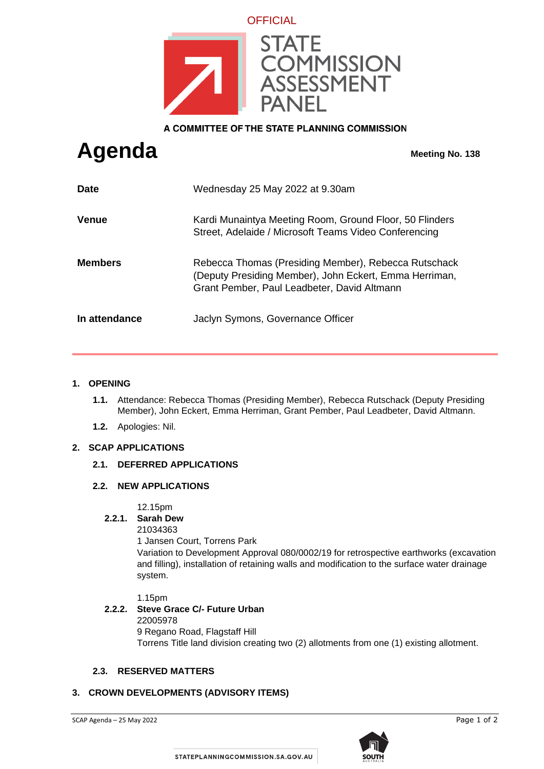

A COMMITTEE OF THE STATE PLANNING COMMISSION

# **Agenda Meeting No. 138**

| <b>Date</b>    | Wednesday 25 May 2022 at 9.30am                                                                                                                               |
|----------------|---------------------------------------------------------------------------------------------------------------------------------------------------------------|
| <b>Venue</b>   | Kardi Munaintya Meeting Room, Ground Floor, 50 Flinders<br>Street, Adelaide / Microsoft Teams Video Conferencing                                              |
| <b>Members</b> | Rebecca Thomas (Presiding Member), Rebecca Rutschack<br>(Deputy Presiding Member), John Eckert, Emma Herriman,<br>Grant Pember, Paul Leadbeter, David Altmann |
| In attendance  | Jaclyn Symons, Governance Officer                                                                                                                             |

#### **1. OPENING**

- **1.1.** Attendance: Rebecca Thomas (Presiding Member), Rebecca Rutschack (Deputy Presiding Member), John Eckert, Emma Herriman, Grant Pember, Paul Leadbeter, David Altmann.
- **1.2.** Apologies: Nil.

# **2. SCAP APPLICATIONS**

#### **2.1. DEFERRED APPLICATIONS**

#### **2.2. NEW APPLICATIONS**

12.15pm

# **2.2.1. Sarah Dew**

21034363

1 Jansen Court, Torrens Park

Variation to Development Approval 080/0002/19 for retrospective earthworks (excavation and filling), installation of retaining walls and modification to the surface water drainage system.

#### 1.15pm

#### **2.2.2. Steve Grace C/- Future Urban** 22005978

9 Regano Road, Flagstaff Hill Torrens Title land division creating two (2) allotments from one (1) existing allotment.

#### **2.3. RESERVED MATTERS**

#### **3. CROWN DEVELOPMENTS (ADVISORY ITEMS)**

SCAP Agenda – 25 May 2022 Page 1 of 2